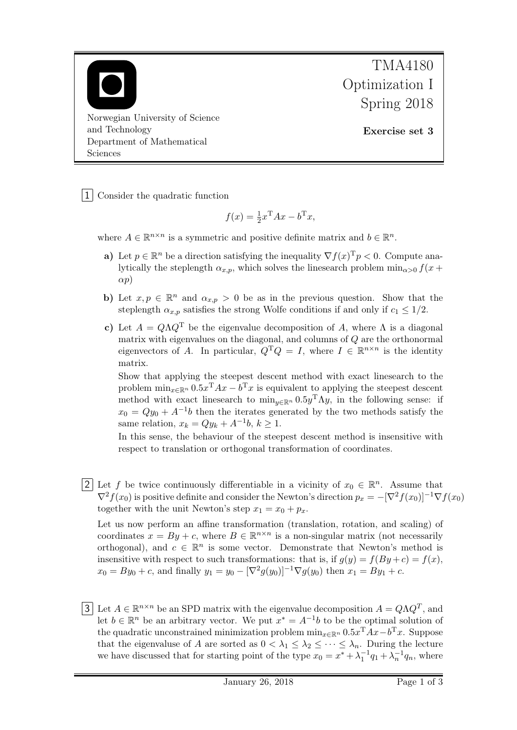

TMA4180 Optimization I Spring 2018

Exercise set 3

1 Consider the quadratic function

$$
f(x) = \frac{1}{2}x^{\mathrm{T}}Ax - b^{\mathrm{T}}x,
$$

where  $A \in \mathbb{R}^{n \times n}$  is a symmetric and positive definite matrix and  $b \in \mathbb{R}^n$ .

- a) Let  $p \in \mathbb{R}^n$  be a direction satisfying the inequality  $\nabla f(x)^T p < 0$ . Compute analytically the steplength  $\alpha_{x,p}$ , which solves the linesearch problem min<sub> $\alpha>0$ </sub>  $f(x +$  $\alpha p$ )
- b) Let  $x, p \in \mathbb{R}^n$  and  $\alpha_{x,p} > 0$  be as in the previous question. Show that the steplength  $\alpha_{x,p}$  satisfies the strong Wolfe conditions if and only if  $c_1 \leq 1/2$ .
- c) Let  $A = Q\Lambda Q^{T}$  be the eigenvalue decomposition of A, where  $\Lambda$  is a diagonal matrix with eigenvalues on the diagonal, and columns of  $Q$  are the orthonormal eigenvectors of A. In particular,  $Q^T Q = I$ , where  $I \in \mathbb{R}^{n \times n}$  is the identity matrix.

Show that applying the steepest descent method with exact linesearch to the problem  $\min_{x \in \mathbb{R}^n} 0.5x^{\mathrm{T}} A x - b^{\mathrm{T}} x$  is equivalent to applying the steepest descent method with exact linesearch to  $\min_{y \in \mathbb{R}^n} 0.5y^{\mathrm{T}} \Lambda y$ , in the following sense: if  $x_0 = Qy_0 + A^{-1}b$  then the iterates generated by the two methods satisfy the same relation,  $x_k = Qy_k + A^{-1}b, k \ge 1$ .

In this sense, the behaviour of the steepest descent method is insensitive with respect to translation or orthogonal transformation of coordinates.

2 Let f be twice continuously differentiable in a vicinity of  $x_0 \in \mathbb{R}^n$ . Assume that  $\nabla^2 f(x_0)$  is positive definite and consider the Newton's direction  $p_x = -[\nabla^2 f(x_0)]^{-1} \nabla f(x_0)$ together with the unit Newton's step  $x_1 = x_0 + p_x$ .

Let us now perform an affine transformation (translation, rotation, and scaling) of coordinates  $x = By + c$ , where  $B \in \mathbb{R}^{n \times n}$  is a non-singular matrix (not necessarily orthogonal), and  $c \in \mathbb{R}^n$  is some vector. Demonstrate that Newton's method is insensitive with respect to such transformations: that is, if  $g(y) = f(By + c) = f(x)$ ,  $x_0 = By_0 + c$ , and finally  $y_1 = y_0 - [\nabla^2 g(y_0)]^{-1} \nabla g(y_0)$  then  $x_1 = By_1 + c$ .

3 Let  $A \in \mathbb{R}^{n \times n}$  be an SPD matrix with the eigenvalue decomposition  $A = Q \Lambda Q^T$ , and let  $b \in \mathbb{R}^n$  be an arbitrary vector. We put  $x^* = A^{-1}b$  to be the optimal solution of the quadratic unconstrained minimization problem  $\min_{x \in \mathbb{R}^n} 0.5x^{\mathrm{T}} Ax - b^{\mathrm{T}} x$ . Suppose that the eigenvaluse of A are sorted as  $0 < \lambda_1 \leq \lambda_2 \leq \cdots \leq \lambda_n$ . During the lecture we have discussed that for starting point of the type  $x_0 = x^* + \lambda_1^{-1}q_1 + \lambda_n^{-1}q_n$ , where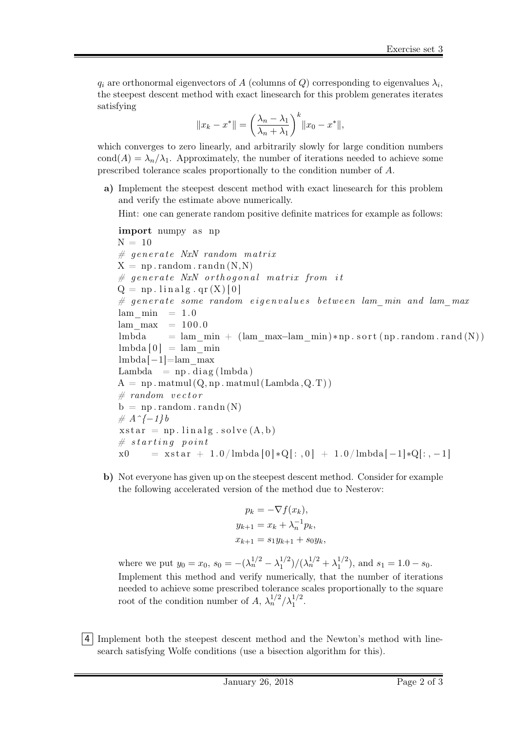$q_i$  are orthonormal eigenvectors of  $A$  (columns of  $Q$ ) corresponding to eigenvalues  $\lambda_i$ , the steepest descent method with exact linesearch for this problem generates iterates satisfying

$$
||x_k - x^*|| = \left(\frac{\lambda_n - \lambda_1}{\lambda_n + \lambda_1}\right)^k ||x_0 - x^*||,
$$

which converges to zero linearly, and arbitrarily slowly for large condition numbers cond(A) =  $\lambda_n/\lambda_1$ . Approximately, the number of iterations needed to achieve some prescribed tolerance scales proportionally to the condition number of A.

a) Implement the steepest descent method with exact linesearch for this problem and verify the estimate above numerically.

Hint: one can generate random positive definite matrices for example as follows:

import numpy a s np N = 10 # g e n e r a t e NxN random m a t r ix X = np . random . randn (N,N) # g e n e r a t e NxN o r t h o g o n a l m a t r ix from i t Q = np . l i n a l g . qr (X ) [ 0 ] # g e n e r a t e some random e i g e n v a l u e s be tween lam\_min and lam\_max lam\_min = 1. 0 lam\_max = 100.0 lmbda = lam\_min + (lam\_max−lam\_min )∗np . s o r t ( np . random . rand (N) ) lmbda [ 0 ] = lam\_min lmbda[−1]=lam\_max Lambda = np . diag ( lmbda ) A = np . matmul (Q, np . matmul (Lambda ,Q.T) ) # random v e c t o r b = np . random . randn (N) # A^{−1}b x s t a r = np . l i n a l g . s o l v e (A, b ) # s t a r t i n g p o i n t x0 = x s t a r + 1.0/ lmbda [ 0 ] ∗Q[ : , 0 ] + 1.0/ lmbda [ −1]∗Q[: , −1]

b) Not everyone has given up on the steepest descent method. Consider for example the following accelerated version of the method due to Nesterov:

$$
p_k = -\nabla f(x_k),
$$
  
\n
$$
y_{k+1} = x_k + \lambda_n^{-1} p_k,
$$
  
\n
$$
x_{k+1} = s_1 y_{k+1} + s_0 y_k,
$$

where we put  $y_0 = x_0$ ,  $s_0 = -(\lambda_n^{1/2} - \lambda_1^{1/2})$  $\lambda_1^{1/2}$ )/( $\lambda_n^{1/2} + \lambda_1^{1/2}$  $j_1^{1/2}$ , and  $s_1 = 1.0 - s_0$ . Implement this method and verify numerically, that the number of iterations needed to achieve some prescribed tolerance scales proportionally to the square root of the condition number of  $A, \lambda_n^{1/2}/\lambda_1^{1/2}$ .

4 Implement both the steepest descent method and the Newton's method with linesearch satisfying Wolfe conditions (use a bisection algorithm for this).